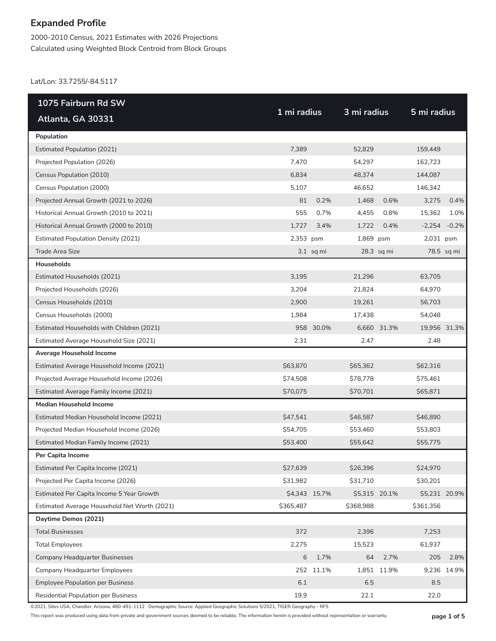2000-2010 Census, 2021 Estimates with 2026 Projections Calculated using Weighted Block Centroid from Block Groups

Lat/Lon: 33.7255/-84.5117

| 1075 Fairburn Rd SW                          |             |               |               |             |               |                |
|----------------------------------------------|-------------|---------------|---------------|-------------|---------------|----------------|
| Atlanta, GA 30331                            | 1 mi radius |               | 3 mi radius   |             | 5 mi radius   |                |
| Population                                   |             |               |               |             |               |                |
| <b>Estimated Population (2021)</b>           | 7,389       |               | 52,829        |             | 159,449       |                |
| Projected Population (2026)                  | 7,470       |               | 54,297        |             | 162,723       |                |
| Census Population (2010)                     | 6,834       |               | 48,374        |             | 144,087       |                |
| Census Population (2000)                     | 5,107       |               | 46,652        |             | 146,342       |                |
| Projected Annual Growth (2021 to 2026)       | 81          | 0.2%          | 1,468         | 0.6%        | 3,275         | 0.4%           |
| Historical Annual Growth (2010 to 2021)      | 555         | 0.7%          | 4,455         | 0.8%        | 15,362        | 1.0%           |
| Historical Annual Growth (2000 to 2010)      | 1,727       | 3.4%          | 1,722         | 0.4%        |               | $-2,254 -0.2%$ |
| <b>Estimated Population Density (2021)</b>   | 2,353 psm   |               | 1,869 psm     |             | 2,031 psm     |                |
| <b>Trade Area Size</b>                       |             | $3.1$ sq mi   |               | 28.3 sq mi  |               | 78.5 sq mi     |
| <b>Households</b>                            |             |               |               |             |               |                |
| Estimated Households (2021)                  | 3,195       |               | 21,296        |             | 63,705        |                |
| Projected Households (2026)                  | 3,204       |               | 21,824        |             | 64,970        |                |
| Census Households (2010)                     | 2,900       |               | 19,261        |             | 56,703        |                |
| Census Households (2000)                     | 1,984       |               | 17,438        |             | 54,048        |                |
| Estimated Households with Children (2021)    |             | 958 30.0%     |               | 6,660 31.3% | 19,956 31.3%  |                |
| Estimated Average Household Size (2021)      | 2.31        |               | 2.47          |             | 2.48          |                |
| Average Household Income                     |             |               |               |             |               |                |
| Estimated Average Household Income (2021)    | \$63,870    |               | \$65,362      |             | \$62,316      |                |
| Projected Average Household Income (2026)    | \$74,508    |               | \$78,778      |             | \$75,461      |                |
| Estimated Average Family Income (2021)       | \$70,075    |               | \$70,701      |             | \$65,871      |                |
| <b>Median Household Income</b>               |             |               |               |             |               |                |
| Estimated Median Household Income (2021)     | \$47,541    |               | \$46,587      |             | \$46,890      |                |
| Projected Median Household Income (2026)     | \$54,705    |               | \$53,460      |             | \$53,803      |                |
| Estimated Median Family Income (2021)        | \$53,400    |               | \$55,642      |             | \$55,775      |                |
| Per Capita Income                            |             |               |               |             |               |                |
| Estimated Per Capita Income (2021)           | \$27,639    |               | \$26,396      |             | \$24,970      |                |
| Projected Per Capita Income (2026)           | \$31,982    |               | \$31,710      |             | \$30,201      |                |
| Estimated Per Capita Income 5 Year Growth    |             | \$4,343 15.7% | \$5,315 20.1% |             | \$5,231 20.9% |                |
| Estimated Average Household Net Worth (2021) | \$365,487   |               | \$368,988     |             | \$361,356     |                |
| Daytime Demos (2021)                         |             |               |               |             |               |                |
| <b>Total Businesses</b>                      | 372         |               | 2,396         |             | 7,253         |                |
| <b>Total Employees</b>                       | 2,275       |               | 15,523        |             | 61,937        |                |
| Company Headquarter Businesses               | 6           | 1.7%          | 64            | 2.7%        | 205           | 2.8%           |
| Company Headquarter Employees                |             | 252 11.1%     |               | 1,851 11.9% |               | 9,236 14.9%    |
| <b>Employee Population per Business</b>      | $6.1\,$     |               | 6.5           |             | 8.5           |                |
| Residential Population per Business          | 19.9        |               | 22.1          |             | 22.0          |                |

©2021, Sites USA, Chandler, Arizona, 480-491-1112 Demographic Source: Applied Geographic Solutions 5/2021, TIGER Geography - RF5

This report was produced using data from private and government sources deemed to be reliable. The information herein is provided without representation or warranty. **page 1 of 5**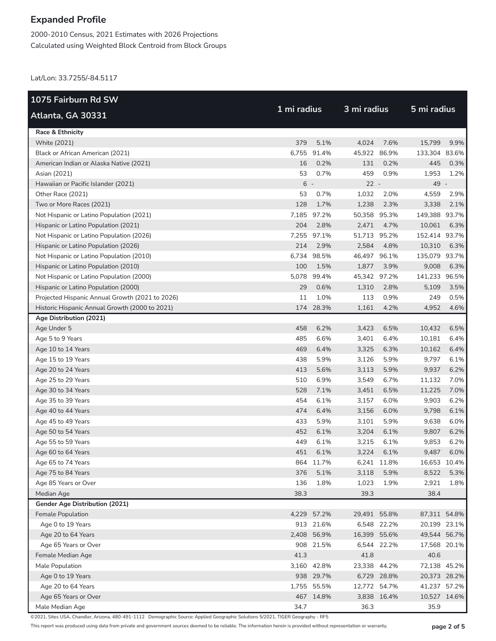2000-2010 Census, 2021 Estimates with 2026 Projections Calculated using Weighted Block Centroid from Block Groups

Lat/Lon: 33.7255/-84.5117

| 1075 Fairburn Rd SW                             |             |             |              |              |               |      |  |
|-------------------------------------------------|-------------|-------------|--------------|--------------|---------------|------|--|
| Atlanta, GA 30331                               | 1 mi radius |             | 3 mi radius  |              | 5 mi radius   |      |  |
| <b>Race &amp; Ethnicity</b>                     |             |             |              |              |               |      |  |
| White (2021)                                    | 379         | 5.1%        | 4,024        | 7.6%         | 15,799        | 9.9% |  |
| Black or African American (2021)                | 6,755       | 91.4%       |              | 45,922 86.9% | 133,304 83.6% |      |  |
| American Indian or Alaska Native (2021)         | 16          | 0.2%        | 131          | 0.2%         | 445           | 0.3% |  |
| Asian (2021)                                    | 53          | 0.7%        | 459          | 0.9%         | 1,953         | 1.2% |  |
| Hawaiian or Pacific Islander (2021)             | $6 -$       |             | $22 -$       |              | 49 -          |      |  |
| Other Race (2021)                               | 53          | 0.7%        | 1,032        | 2.0%         | 4,559         | 2.9% |  |
| Two or More Races (2021)                        | 128         | 1.7%        | 1,238        | 2.3%         | 3,338         | 2.1% |  |
| Not Hispanic or Latino Population (2021)        |             | 7,185 97.2% | 50,358 95.3% |              | 149,388 93.7% |      |  |
| Hispanic or Latino Population (2021)            | 204         | 2.8%        | 2,471        | 4.7%         | 10,061        | 6.3% |  |
| Not Hispanic or Latino Population (2026)        | 7,255       | 97.1%       |              | 51,713 95.2% | 152,414 93.7% |      |  |
| Hispanic or Latino Population (2026)            | 214         | 2.9%        | 2,584        | 4.8%         | 10,310        | 6.3% |  |
| Not Hispanic or Latino Population (2010)        |             | 6,734 98.5% | 46,497 96.1% |              | 135,079 93.7% |      |  |
| Hispanic or Latino Population (2010)            | 100         | 1.5%        | 1,877        | 3.9%         | 9,008         | 6.3% |  |
| Not Hispanic or Latino Population (2000)        |             | 5,078 99.4% |              | 45,342 97.2% | 141,233 96.5% |      |  |
| Hispanic or Latino Population (2000)            | 29          | 0.6%        | 1,310        | 2.8%         | 5,109         | 3.5% |  |
| Projected Hispanic Annual Growth (2021 to 2026) | 11          | 1.0%        | 113          | 0.9%         | 249           | 0.5% |  |
| Historic Hispanic Annual Growth (2000 to 2021)  | 174         | 28.3%       | 1,161        | 4.2%         | 4,952         | 4.6% |  |
| Age Distribution (2021)                         |             |             |              |              |               |      |  |
| Age Under 5                                     | 458         | 6.2%        | 3,423        | 6.5%         | 10,432        | 6.5% |  |
| Age 5 to 9 Years                                | 485         | 6.6%        | 3,401        | 6.4%         | 10,181        | 6.4% |  |
| Age 10 to 14 Years                              | 469         | 6.4%        | 3,325        | 6.3%         | 10,162        | 6.4% |  |
| Age 15 to 19 Years                              | 438         | 5.9%        | 3,126        | 5.9%         | 9,797         | 6.1% |  |
| Age 20 to 24 Years                              | 413         | 5.6%        | 3,113        | 5.9%         | 9,937         | 6.2% |  |
| Age 25 to 29 Years                              | 510         | 6.9%        | 3,549        | 6.7%         | 11,132        | 7.0% |  |
| Age 30 to 34 Years                              | 528         | 7.1%        | 3,451        | 6.5%         | 11,225        | 7.0% |  |
| Age 35 to 39 Years                              | 454         | 6.1%        | 3,157        | 6.0%         | 9,903         | 6.2% |  |
| Age 40 to 44 Years                              | 474         | 6.4%        | 3,156        | 6.0%         | 9,798         | 6.1% |  |
| Age 45 to 49 Years                              | 433         | 5.9%        | 3,101        | 5.9%         | 9,638         | 6.0% |  |
| Age 50 to 54 Years                              | 452         | 6.1%        | 3,204        | 6.1%         | 9,807         | 6.2% |  |
| Age 55 to 59 Years                              | 449         | 6.1%        | 3,215        | 6.1%         | 9,853         | 6.2% |  |
| Age 60 to 64 Years                              | 451         | 6.1%        | 3,224        | 6.1%         | 9,487         | 6.0% |  |
| Age 65 to 74 Years                              |             | 864 11.7%   |              | 6,241 11.8%  | 16,653 10.4%  |      |  |
| Age 75 to 84 Years                              | 376         | 5.1%        | 3,118        | 5.9%         | 8,522         | 5.3% |  |
| Age 85 Years or Over                            | 136         | 1.8%        | 1,023        | 1.9%         | 2,921         | 1.8% |  |
| Median Age                                      | 38.3        |             | 39.3         |              | 38.4          |      |  |
| <b>Gender Age Distribution (2021)</b>           |             |             |              |              |               |      |  |
| Female Population                               |             | 4,229 57.2% |              | 29,491 55.8% | 87,311 54.8%  |      |  |
| Age 0 to 19 Years                               |             | 913 21.6%   |              | 6,548 22.2%  | 20,199 23.1%  |      |  |
| Age 20 to 64 Years                              |             | 2,408 56.9% |              | 16,399 55.6% | 49,544 56.7%  |      |  |
| Age 65 Years or Over                            |             | 908 21.5%   |              | 6,544 22.2%  | 17,568 20.1%  |      |  |
| Female Median Age                               | 41.3        |             | 41.8         |              | 40.6          |      |  |
| Male Population                                 |             | 3,160 42.8% |              | 23,338 44.2% | 72,138 45.2%  |      |  |
| Age 0 to 19 Years                               |             | 938 29.7%   |              | 6,729 28.8%  | 20,373 28.2%  |      |  |
| Age 20 to 64 Years                              |             | 1,755 55.5% |              | 12,772 54.7% | 41,237 57.2%  |      |  |
| Age 65 Years or Over                            |             | 467 14.8%   |              | 3,838 16.4%  | 10,527 14.6%  |      |  |
| Male Median Age                                 | 34.7        |             | 36.3         |              | 35.9          |      |  |

©2021, Sites USA, Chandler, Arizona, 480-491-1112 Demographic Source: Applied Geographic Solutions 5/2021, TIGER Geography - RF5

This report was produced using data from private and government sources deemed to be reliable. The information herein is provided without representation or warranty. **page 2 of 5**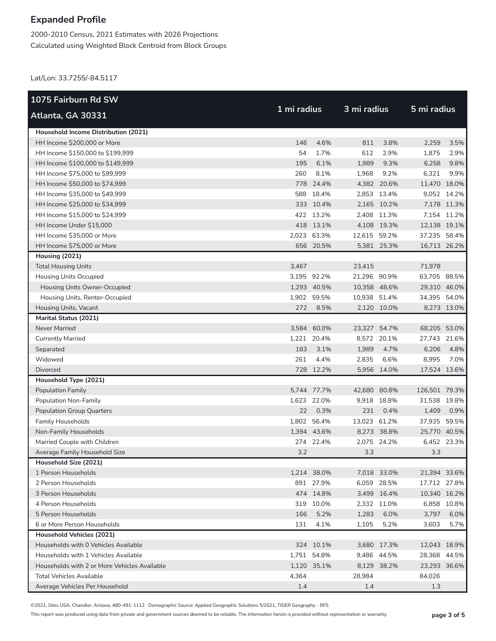2000-2010 Census, 2021 Estimates with 2026 Projections Calculated using Weighted Block Centroid from Block Groups

Lat/Lon: 33.7255/-84.5117

| 1075 Fairburn Rd SW                          |             |             |              |             |               |             |
|----------------------------------------------|-------------|-------------|--------------|-------------|---------------|-------------|
| Atlanta, GA 30331                            | 1 mi radius |             | 3 mi radius  |             | 5 mi radius   |             |
| Household Income Distribution (2021)         |             |             |              |             |               |             |
| HH Income \$200,000 or More                  | 146         | 4.6%        | 811          | 3.8%        | 2,259         | 3.5%        |
| HH Income \$150,000 to \$199,999             | 54          | 1.7%        | 612          | 2.9%        | 1,875         | 2.9%        |
| HH Income \$100,000 to \$149,999             | 195         | 6.1%        | 1,989        | 9.3%        | 6,258         | 9.8%        |
| HH Income \$75,000 to \$99,999               | 260         | 8.1%        | 1,968        | 9.2%        | 6,321         | 9.9%        |
| HH Income \$50,000 to \$74,999               |             | 778 24.4%   |              | 4,382 20.6% | 11,470 18.0%  |             |
| HH Income \$35,000 to \$49,999               |             | 588 18.4%   |              | 2,853 13.4% |               | 9,052 14.2% |
| HH Income \$25,000 to \$34,999               |             | 333 10.4%   |              | 2,165 10.2% |               | 7,178 11.3% |
| HH Income \$15,000 to \$24,999               |             | 422 13.2%   |              | 2,408 11.3% |               | 7,154 11.2% |
| HH Income Under \$15,000                     |             | 418 13.1%   |              | 4,108 19.3% | 12,138 19.1%  |             |
| HH Income \$35,000 or More                   |             | 2,023 63.3% | 12,615 59.2% |             | 37,235 58.4%  |             |
| HH Income \$75,000 or More                   |             | 656 20.5%   |              | 5,381 25.3% | 16,713 26.2%  |             |
| Housing (2021)                               |             |             |              |             |               |             |
| <b>Total Housing Units</b>                   | 3,467       |             | 23,415       |             | 71,978        |             |
| <b>Housing Units Occupied</b>                |             | 3,195 92.2% | 21,296 90.9% |             | 63,705 88.5%  |             |
| Housing Units Owner-Occupied                 |             | 1,293 40.5% | 10,358 48.6% |             | 29,310 46.0%  |             |
| Housing Units, Renter-Occupied               | 1,902       | 59.5%       | 10,938 51.4% |             | 34,395 54.0%  |             |
| Housing Units, Vacant                        | 272         | 8.5%        |              | 2,120 10.0% |               | 8,273 13.0% |
| <b>Marital Status (2021)</b>                 |             |             |              |             |               |             |
| Never Married                                |             | 3,584 60.0% | 23,327       | 54.7%       | 68,205 53.0%  |             |
| <b>Currently Married</b>                     |             | 1,221 20.4% |              | 8,572 20.1% | 27,743 21.6%  |             |
| Separated                                    | 183         | 3.1%        | 1,989        | 4.7%        | 6,206         | 4.8%        |
| Widowed                                      | 261         | 4.4%        | 2,835        | 6.6%        | 8,995         | 7.0%        |
| <b>Divorced</b>                              |             | 728 12.2%   |              | 5,956 14.0% | 17,524 13.6%  |             |
| Household Type (2021)                        |             |             |              |             |               |             |
| Population Family                            |             | 5,744 77.7% | 42,680 80.8% |             | 126,501 79.3% |             |
| Population Non-Family                        |             | 1,623 22.0% |              | 9,918 18.8% | 31,538 19.8%  |             |
| <b>Population Group Quarters</b>             | 22          | 0.3%        | 231          | 0.4%        | 1,409         | 0.9%        |
| <b>Family Households</b>                     |             | 1,802 56.4% | 13,023 61.2% |             | 37,935        | 59.5%       |
| Non-Family Households                        |             | 1,394 43.6% |              | 8,273 38.8% | 25,770 40.5%  |             |
| Married Couple with Children                 |             | 274 22.4%   |              | 2,075 24.2% |               | 6,452 23.3% |
| Average Family Household Size                | 3.2         |             | 3.3          |             | 3.3           |             |
| Household Size (2021)                        |             |             |              |             |               |             |
| 1 Person Households                          |             | 1,214 38.0% |              | 7,018 33.0% | 21,394 33.6%  |             |
| 2 Person Households                          |             | 891 27.9%   |              | 6,059 28.5% | 17,712 27.8%  |             |
| 3 Person Households                          |             | 474 14.8%   |              | 3,499 16.4% | 10,340 16.2%  |             |
| 4 Person Households                          |             | 319 10.0%   |              | 2,332 11.0% |               | 6,858 10.8% |
| 5 Person Households                          | 166         | 5.2%        | 1,283        | 6.0%        | 3,797         | 6.0%        |
| 6 or More Person Households                  | 131         | 4.1%        | 1,105        | 5.2%        | 3,603         | 5.7%        |
| <b>Household Vehicles (2021)</b>             |             |             |              |             |               |             |
| Households with 0 Vehicles Available         |             | 324 10.1%   |              | 3,680 17.3% | 12,043 18.9%  |             |
| Households with 1 Vehicles Available         |             | 1,751 54.8% |              | 9,486 44.5% | 28,368 44.5%  |             |
| Households with 2 or More Vehicles Available |             | 1,120 35.1% |              | 8,129 38.2% | 23,293 36.6%  |             |
| <b>Total Vehicles Available</b>              | 4,364       |             | 28,984       |             | 84,026        |             |
| Average Vehicles Per Household               | 1.4         |             | 1.4          |             | 1.3           |             |

©2021, Sites USA, Chandler, Arizona, 480-491-1112 Demographic Source: Applied Geographic Solutions 5/2021, TIGER Geography - RF5

This report was produced using data from private and government sources deemed to be reliable. The information herein is provided without representation or warranty. **page 3 of 5**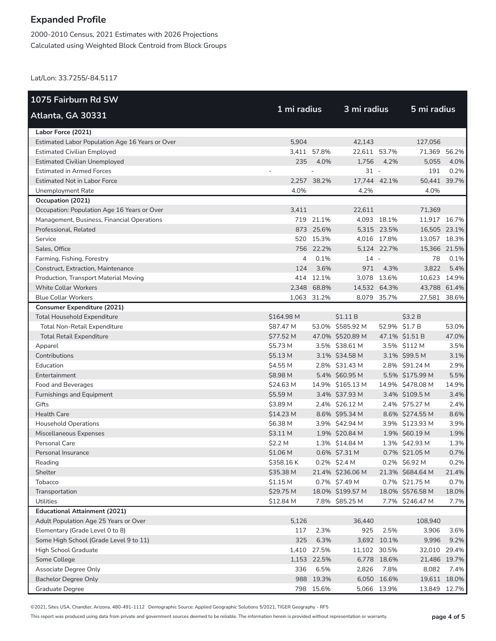2000-2010 Census, 2021 Estimates with 2026 Projections Calculated using Weighted Block Centroid from Block Groups

Lat/Lon: 33.7255/-84.5117

| 1075 Fairburn Rd SW                             |                |             |                  |             |                  |       |
|-------------------------------------------------|----------------|-------------|------------------|-------------|------------------|-------|
| Atlanta, GA 30331                               | 1 mi radius    |             | 3 mi radius      |             | 5 mi radius      |       |
| Labor Force (2021)                              |                |             |                  |             |                  |       |
| Estimated Labor Population Age 16 Years or Over | 5,904          |             | 42,143           |             | 127,056          |       |
| <b>Estimated Civilian Employed</b>              |                | 3,411 57.8% | 22,611 53.7%     |             | 71,369 56.2%     |       |
| <b>Estimated Civilian Unemployed</b>            | 235            | 4.0%        | 1,756            | 4.2%        | 5,055            | 4.0%  |
| <b>Estimated in Armed Forces</b>                |                |             | $31 -$           |             | 191              | 0.2%  |
| <b>Estimated Not in Labor Force</b>             |                | 2,257 38.2% | 17,744 42.1%     |             | 50,441 39.7%     |       |
| Unemployment Rate                               | 4.0%           |             | 4.2%             |             | 4.0%             |       |
| Occupation (2021)                               |                |             |                  |             |                  |       |
| Occupation: Population Age 16 Years or Over     | 3,411          |             | 22,611           |             | 71,369           |       |
| Management, Business, Financial Operations      |                | 719 21.1%   |                  | 4,093 18.1% | 11,917 16.7%     |       |
| Professional, Related                           |                | 873 25.6%   |                  | 5,315 23.5% | 16,505 23.1%     |       |
| Service                                         |                | 520 15.3%   |                  | 4,016 17.8% | 13,057 18.3%     |       |
| Sales, Office                                   |                | 756 22.2%   |                  | 5,124 22.7% | 15,366 21.5%     |       |
| Farming, Fishing, Forestry                      | $\overline{4}$ | 0.1%        | $14 -$           |             | 78               | 0.1%  |
| Construct, Extraction, Maintenance              | 124            | 3.6%        | 971              | 4.3%        | 3,822            | 5.4%  |
| Production, Transport Material Moving           |                | 414 12.1%   |                  | 3,078 13.6% | 10,623 14.9%     |       |
| <b>White Collar Workers</b>                     |                | 2,348 68.8% | 14,532 64.3%     |             | 43,788 61.4%     |       |
| <b>Blue Collar Workers</b>                      |                | 1,063 31.2% |                  | 8,079 35.7% | 27,581           | 38.6% |
| <b>Consumer Expenditure (2021)</b>              |                |             |                  |             |                  |       |
| <b>Total Household Expenditure</b>              | \$164.98 M     |             | \$1.11B          |             | \$3.2 B          |       |
| Total Non-Retail Expenditure                    | \$87.47 M      |             | 53.0% \$585.92 M |             | 52.9% \$1.7 B    | 53.0% |
| <b>Total Retail Expenditure</b>                 | \$77.52 M      |             | 47.0% \$520.89 M |             | 47.1% \$1.51 B   | 47.0% |
| Apparel                                         | \$5.73 M       |             | 3.5% \$38.61 M   |             | 3.5% \$112 M     | 3.5%  |
| Contributions                                   | \$5.13 M       |             | 3.1% \$34.58 M   |             | 3.1% \$99.5 M    | 3.1%  |
| Education                                       | \$4.55 M       |             | 2.8% \$31.43 M   |             | 2.8% \$91.24 M   | 2.9%  |
| Entertainment                                   | \$8.98 M       |             | 5.4% \$60.95 M   |             | 5.5% \$175.99 M  | 5.5%  |
| Food and Beverages                              | \$24.63 M      |             | 14.9% \$165.13 M |             | 14.9% \$478.08 M | 14.9% |
| Furnishings and Equipment                       | \$5.59 M       |             | 3.4% \$37.93 M   |             | 3.4% \$109.5 M   | 3.4%  |
| Gifts                                           | \$3.89 M       |             | 2.4% \$26.12 M   |             | 2.4% \$75.27 M   | 2.4%  |
| <b>Health Care</b>                              | \$14.23 M      |             | 8.6% \$95.34 M   |             | 8.6% \$274.55 M  | 8.6%  |
| <b>Household Operations</b>                     | \$6.38 M       |             | 3.9% \$42.94 M   |             | 3.9% \$123.93 M  | 3.9%  |
| Miscellaneous Expenses                          | \$3.11 M       |             | 1.9% \$20.84 M   |             | 1.9% \$60.19 M   | 1.9%  |
| Personal Care                                   | \$2.2 M        |             | 1.3% \$14.84 M   |             | 1.3% \$42.93 M   | 1.3%  |
| Personal Insurance                              | \$1.06 M       |             | 0.6% \$7.31 M    |             | 0.7% \$21.05 M   | 0.7%  |
| Reading                                         | \$358.16K      |             | 0.2% \$2.4 M     |             | 0.2% \$6.92 M    | 0.2%  |
| Shelter                                         | \$35.38 M      |             | 21.4% \$236.06 M |             | 21.3% \$684.64 M | 21.4% |
| Tobacco                                         | \$1.15 M       |             | 0.7% \$7.49 M    |             | 0.7% \$21.75 M   | 0.7%  |
| Transportation                                  | \$29.75 M      |             | 18.0% \$199.57 M |             | 18.0% \$576.58 M | 18.0% |
| <b>Utilities</b>                                | \$12.84 M      |             | 7.8% \$85.25 M   |             | 7.7% \$246.47 M  | 7.7%  |
| <b>Educational Attainment (2021)</b>            |                |             |                  |             |                  |       |
| Adult Population Age 25 Years or Over           | 5,126          |             | 36,440           |             | 108,940          |       |
| Elementary (Grade Level 0 to 8)                 | 117            | 2.3%        | 925              | 2.5%        | 3,906            | 3.6%  |
| Some High School (Grade Level 9 to 11)          | 325            | 6.3%        |                  | 3,692 10.1% | 9,996            | 9.2%  |
| High School Graduate                            |                | 1,410 27.5% | 11,102 30.5%     |             | 32,010           | 29.4% |
| Some College                                    |                | 1,153 22.5% |                  | 6,778 18.6% | 21,486 19.7%     |       |
| Associate Degree Only                           | 336            | 6.5%        | 2,826            | 7.8%        | 8,082            | 7.4%  |
| <b>Bachelor Degree Only</b>                     |                | 988 19.3%   | 6,050            | 16.6%       | 19,611 18.0%     |       |
| Graduate Degree                                 |                | 798 15.6%   |                  | 5,066 13.9% | 13,849           | 12.7% |

©2021, Sites USA, Chandler, Arizona, 480-491-1112 Demographic Source: Applied Geographic Solutions 5/2021, TIGER Geography - RF5

This report was produced using data from private and government sources deemed to be reliable. The information herein is provided without representation or warranty. **page 4 of 5**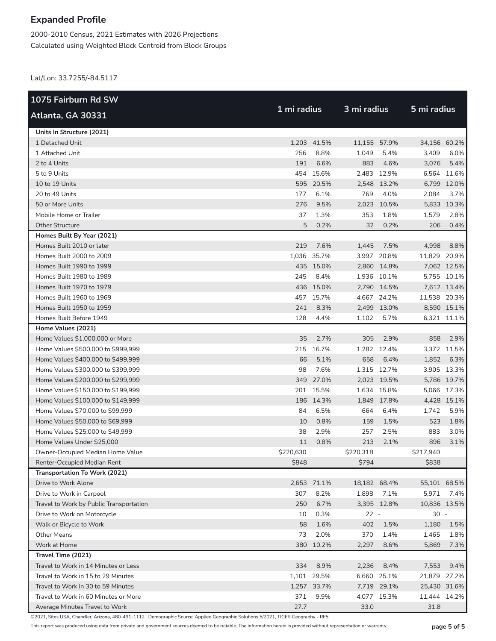2000-2010 Census, 2021 Estimates with 2026 Projections Calculated using Weighted Block Centroid from Block Groups

Lat/Lon: 33.7255/-84.5117

| 1075 Fairburn Rd SW                     |             |             |              |             |              |             |
|-----------------------------------------|-------------|-------------|--------------|-------------|--------------|-------------|
| Atlanta, GA 30331                       | 1 mi radius |             | 3 mi radius  |             | 5 mi radius  |             |
| Units In Structure (2021)               |             |             |              |             |              |             |
| 1 Detached Unit                         |             | 1,203 41.5% | 11,155 57.9% |             | 34,156 60.2% |             |
| 1 Attached Unit                         | 256         | 8.8%        | 1,049        | 5.4%        | 3,409        | 6.0%        |
| 2 to 4 Units                            | 191         | 6.6%        | 883          | 4.6%        | 3,076        | 5.4%        |
| 5 to 9 Units                            |             | 454 15.6%   |              | 2,483 12.9% | 6,564        | 11.6%       |
| 10 to 19 Units                          |             | 595 20.5%   |              | 2,548 13.2% |              | 6,799 12.0% |
| 20 to 49 Units                          | 177         | 6.1%        | 769          | 4.0%        | 2,084        | 3.7%        |
| 50 or More Units                        | 276         | 9.5%        | 2,023        | 10.5%       |              | 5,833 10.3% |
| Mobile Home or Trailer                  | 37          | 1.3%        | 353          | 1.8%        | 1,579        | 2.8%        |
| <b>Other Structure</b>                  | 5           | 0.2%        | 32           | 0.2%        | 206          | 0.4%        |
| Homes Built By Year (2021)              |             |             |              |             |              |             |
| Homes Built 2010 or later               | 219         | 7.6%        | 1,445        | 7.5%        | 4,998        | 8.8%        |
| Homes Built 2000 to 2009                |             | 1,036 35.7% |              | 3,997 20.8% | 11,829 20.9% |             |
| Homes Built 1990 to 1999                |             | 435 15.0%   |              | 2,860 14.8% |              | 7,062 12.5% |
| Homes Built 1980 to 1989                | 245         | 8.4%        |              | 1,936 10.1% |              | 5,755 10.1% |
| Homes Built 1970 to 1979                |             | 436 15.0%   |              | 2,790 14.5% |              | 7,612 13.4% |
| Homes Built 1960 to 1969                |             | 457 15.7%   |              | 4,667 24.2% | 11,538 20.3% |             |
| Homes Built 1950 to 1959                | 241         | 8.3%        |              | 2,499 13.0% |              | 8,590 15.1% |
| Homes Built Before 1949                 | 128         | 4.4%        | 1,102        | 5.7%        |              | 6,321 11.1% |
| Home Values (2021)                      |             |             |              |             |              |             |
| Home Values \$1,000,000 or More         | 35          | 2.7%        | 305          | 2.9%        | 858          | 2.9%        |
| Home Values \$500,000 to \$999,999      |             | 215 16.7%   |              | 1,282 12.4% |              | 3,372 11.5% |
| Home Values \$400,000 to \$499,999      | 66          | 5.1%        | 658          | 6.4%        | 1,852        | 6.3%        |
| Home Values \$300,000 to \$399,999      | 98          | 7.6%        |              | 1,315 12.7% |              | 3,905 13.3% |
| Home Values \$200,000 to \$299,999      | 349         | 27.0%       |              | 2,023 19.5% |              | 5,786 19.7% |
| Home Values \$150,000 to \$199,999      |             | 201 15.5%   |              | 1,634 15.8% |              | 5,066 17.3% |
| Home Values \$100,000 to \$149,999      |             | 186 14.3%   |              | 1,849 17.8% |              | 4,428 15.1% |
| Home Values \$70,000 to \$99,999        | 84          | 6.5%        | 664          | 6.4%        | 1.742        | 5.9%        |
| Home Values \$50,000 to \$69,999        | 10          | 0.8%        | 159          | 1.5%        | 523          | 1.8%        |
| Home Values \$25,000 to \$49,999        | 38          | 2.9%        | 257          | 2.5%        | 883          | 3.0%        |
| Home Values Under \$25,000              | 11          | 0.8%        | 213          | 2.1%        | 896          | 3.1%        |
| Owner-Occupied Median Home Value        | \$220,630   |             | \$220,318    |             | \$217,940    |             |
| Renter-Occupied Median Rent             | \$848       |             | \$794        |             | \$838        |             |
| Transportation To Work (2021)           |             |             |              |             |              |             |
| Drive to Work Alone                     |             | 2,653 71.1% | 18,182 68.4% |             | 55,101 68.5% |             |
| Drive to Work in Carpool                | 307         | 8.2%        | 1,898        | 7.1%        | 5,971        | 7.4%        |
| Travel to Work by Public Transportation | 250         | 6.7%        |              | 3,395 12.8% | 10,836 13.5% |             |
| Drive to Work on Motorcycle             | 10          | 0.3%        | $22 -$       |             | $30 -$       |             |
| Walk or Bicycle to Work                 | 58          | 1.6%        | 402          | 1.5%        | 1,180        | 1.5%        |
| <b>Other Means</b>                      | 73          | 2.0%        | 370          | 1.4%        | 1,465        | 1.8%        |
| Work at Home                            |             | 380 10.2%   | 2,297        | 8.6%        | 5,869        | 7.3%        |
| Travel Time (2021)                      |             |             |              |             |              |             |
| Travel to Work in 14 Minutes or Less    | 334         | 8.9%        | 2,236        | 8.4%        | 7,553        | 9.4%        |
| Travel to Work in 15 to 29 Minutes      |             | 1,101 29.5% |              | 6,660 25.1% | 21,879       | 27.2%       |
| Travel to Work in 30 to 59 Minutes      |             | 1,257 33.7% |              | 7,719 29.1% | 25,430 31.6% |             |
| Travel to Work in 60 Minutes or More    | 371         | 9.9%        |              | 4,077 15.3% | 11,444 14.2% |             |
| Average Minutes Travel to Work          | 27.7        |             | 33.0         |             | 31.8         |             |

©2021, Sites USA, Chandler, Arizona, 480-491-1112 Demographic Source: Applied Geographic Solutions 5/2021, TIGER Geography - RF5

This report was produced using data from private and government sources deemed to be reliable. The information herein is provided without representation or warranty. **page 5 of 5**